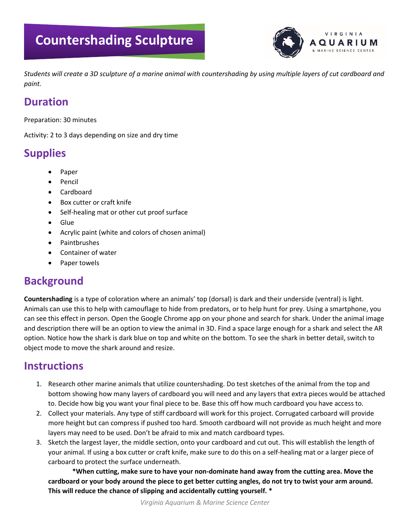# **Countershading Sculpture**



*Students will create a 3D sculpture of a marine animal with countershading by using multiple layers of cut cardboard and paint.*

#### **Duration**

Preparation: 30 minutes

Activity: 2 to 3 days depending on size and dry time

# **Supplies**

- Paper
- Pencil
- Cardboard
- Box cutter or craft knife
- Self-healing mat or other cut proof surface
- Glue
- Acrylic paint (white and colors of chosen animal)
- Paintbrushes
- Container of water
- Paper towels

## **Background**

**Countershading** is a type of coloration where an animals' top (dorsal) is dark and their underside (ventral) is light. Animals can use this to help with camouflage to hide from predators, or to help hunt for prey. Using a smartphone, you can see this effect in person. Open the Google Chrome app on your phone and search for shark. Under the animal image and description there will be an option to view the animal in 3D. Find a space large enough for a shark and select the AR option. Notice how the shark is dark blue on top and white on the bottom. To see the shark in better detail, switch to object mode to move the shark around and resize.

## **Instructions**

- 1. Research other marine animals that utilize countershading. Do test sketches of the animal from the top and bottom showing how many layers of cardboard you will need and any layers that extra pieces would be attached to. Decide how big you want your final piece to be. Base this off how much cardboard you have access to.
- 2. Collect your materials. Any type of stiff cardboard will work for this project. Corrugated carboard will provide more height but can compress if pushed too hard. Smooth cardboard will not provide as much height and more layers may need to be used. Don't be afraid to mix and match cardboard types.
- 3. Sketch the largest layer, the middle section, onto your cardboard and cut out. This will establish the length of your animal. If using a box cutter or craft knife, make sure to do this on a self-healing mat or a larger piece of carboard to protect the surface underneath.

**\*When cutting, make sure to have your non-dominate hand away from the cutting area. Move the cardboard or your body around the piece to get better cutting angles, do not try to twist your arm around. This will reduce the chance of slipping and accidentally cutting yourself. \***